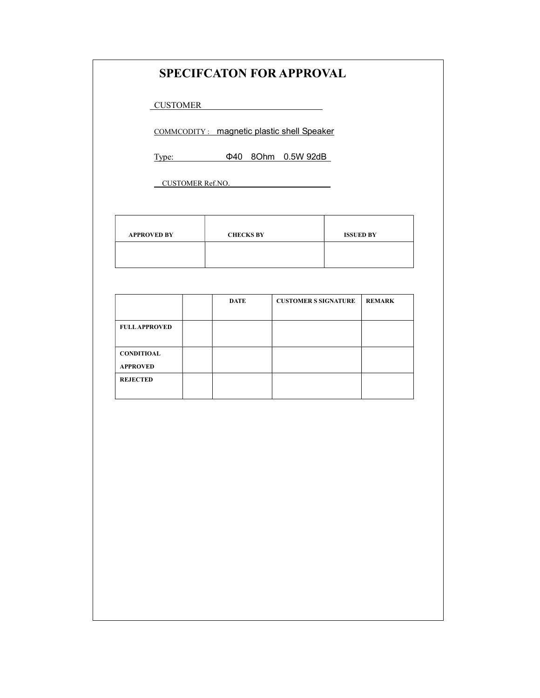### SPECIFCATON FOR APPROVAL

CUSTOMER

COMMCODITY : magnetic plastic shell Speaker

Type: Φ40 8Ohm 0.5W 92dB

CUSTOMER Ref.NO.

| <b>APPROVED BY</b> | <b>CHECKS BY</b> | <b>ISSUED BY</b> |
|--------------------|------------------|------------------|
|                    |                  |                  |

|                      | <b>DATE</b> | <b>CUSTOMER S SIGNATURE</b> | <b>REMARK</b> |
|----------------------|-------------|-----------------------------|---------------|
|                      |             |                             |               |
| <b>FULL APPROVED</b> |             |                             |               |
|                      |             |                             |               |
| <b>CONDITIOAL</b>    |             |                             |               |
| <b>APPROVED</b>      |             |                             |               |
| <b>REJECTED</b>      |             |                             |               |
|                      |             |                             |               |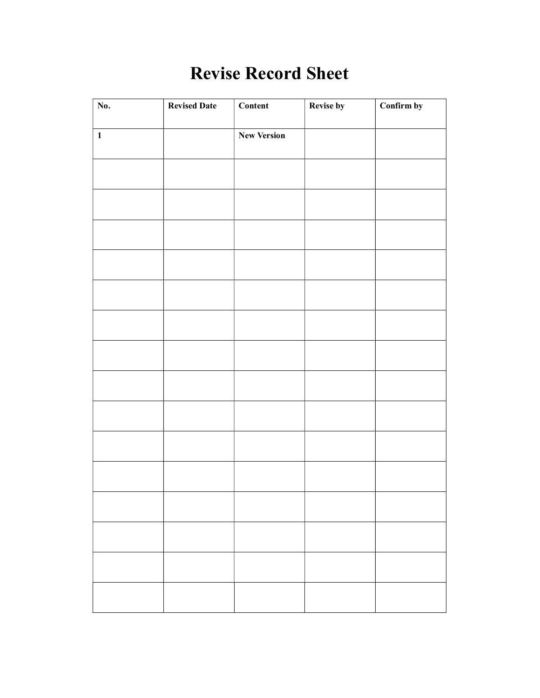# Revise Record Sheet

| No.          | <b>Revised Date</b> | Content            | <b>Revise by</b> | Confirm by |
|--------------|---------------------|--------------------|------------------|------------|
| $\mathbf{1}$ |                     | <b>New Version</b> |                  |            |
|              |                     |                    |                  |            |
|              |                     |                    |                  |            |
|              |                     |                    |                  |            |
|              |                     |                    |                  |            |
|              |                     |                    |                  |            |
|              |                     |                    |                  |            |
|              |                     |                    |                  |            |
|              |                     |                    |                  |            |
|              |                     |                    |                  |            |
|              |                     |                    |                  |            |
|              |                     |                    |                  |            |
|              |                     |                    |                  |            |
|              |                     |                    |                  |            |
|              |                     |                    |                  |            |
|              |                     |                    |                  |            |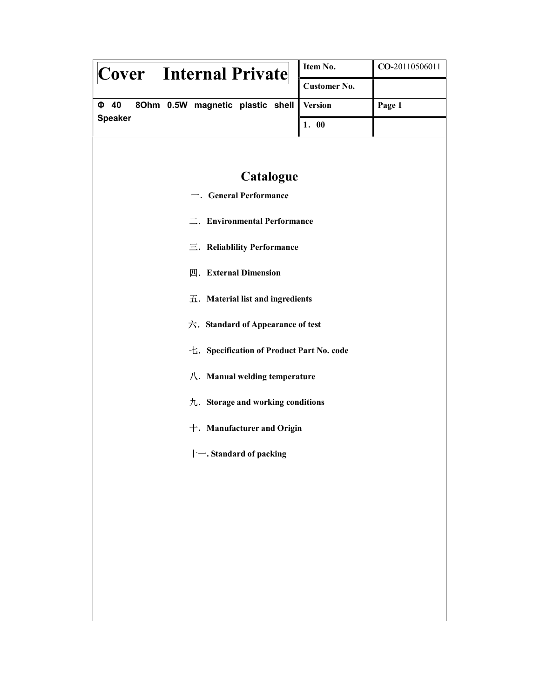| Cover Internal Private                         | Item No.                         | CO-20110506011 |  |
|------------------------------------------------|----------------------------------|----------------|--|
|                                                | <b>Customer No.</b>              |                |  |
| $\Phi$ 40<br>8Ohm 0.5W magnetic plastic shell  | <b>Version</b>                   | Page 1         |  |
| <b>Speaker</b>                                 | 1.00                             |                |  |
|                                                |                                  |                |  |
|                                                |                                  |                |  |
| Catalogue                                      |                                  |                |  |
| $\overline{\phantom{a}}$ . General Performance |                                  |                |  |
| =. Environmental Performance                   |                                  |                |  |
| 三. Reliablility Performance                    |                                  |                |  |
| 四. External Dimension                          |                                  |                |  |
|                                                | 五. Material list and ingredients |                |  |
| 六. Standard of Appearance of test              |                                  |                |  |
| 七. Specification of Product Part No. code      |                                  |                |  |
| $\Lambda$ . Manual welding temperature         |                                  |                |  |
| 九. Storage and working conditions              |                                  |                |  |
| $+$ . Manufacturer and Origin                  |                                  |                |  |
| + -. Standard of packing                       |                                  |                |  |
|                                                |                                  |                |  |
|                                                |                                  |                |  |
|                                                |                                  |                |  |
|                                                |                                  |                |  |
|                                                |                                  |                |  |
|                                                |                                  |                |  |
|                                                |                                  |                |  |
|                                                |                                  |                |  |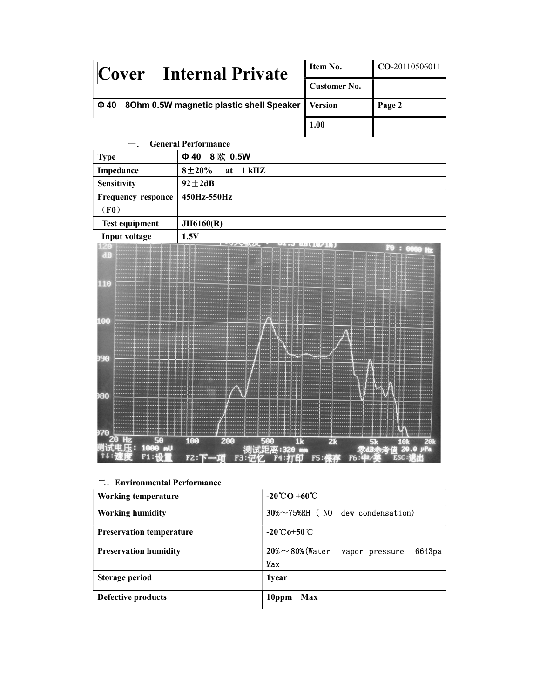| <b>Internal Private</b><br><b>Cover</b>                         | Item No.            | CO-20110506011 |
|-----------------------------------------------------------------|---------------------|----------------|
|                                                                 | <b>Customer No.</b> |                |
| 8Ohm 0.5W magnetic plastic shell Speaker   Version<br>$\Phi$ 40 |                     | Page 2         |
|                                                                 | 1.00                |                |

|                           | <b>General Performance</b> |
|---------------------------|----------------------------|
| <b>Type</b>               | 8 欧 0.5W<br>$\Phi$ 40      |
| Impedance                 | $8 + 20%$<br>at 1 kHZ      |
| <b>Sensitivity</b>        | $92 \pm 2$ dB              |
| <b>Frequency responce</b> | 450Hz-550Hz                |
| (F0)                      |                            |
| <b>Test equipment</b>     | JH6160(R)                  |
| Input voltage             | 1.5V                       |



二.Environmental Performance

| <b>Working temperature</b>      | $-20^{\circ}\text{CO} + 60^{\circ}\text{C}$                     |
|---------------------------------|-----------------------------------------------------------------|
| <b>Working humidity</b>         | $30\% \sim 75\%$ RH (NO dew condensation)                       |
| <b>Preservation temperature</b> | $-20^{\circ}\text{C}_{0}+50^{\circ}\text{C}$                    |
| <b>Preservation humidity</b>    | $20\% \sim 80\%$ (Water<br>6643 <sub>pa</sub><br>vapor pressure |
|                                 | Max                                                             |
| Storage period                  | 1 <sub>vear</sub>                                               |
| Defective products              | Max<br>10ppm                                                    |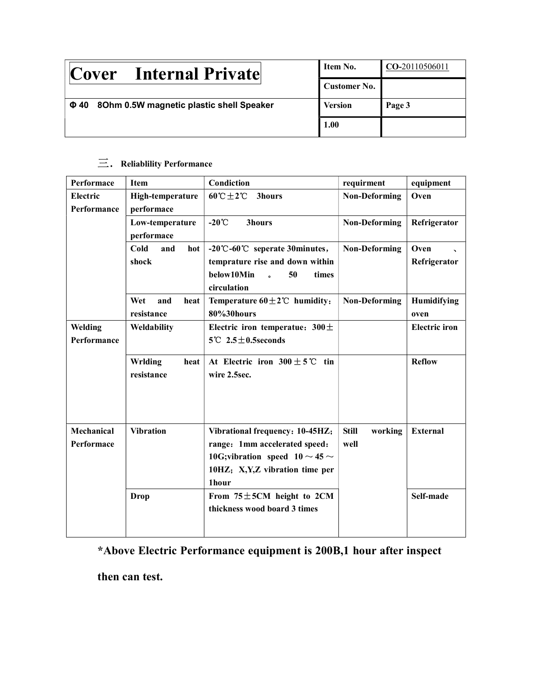| <b>Internal Private</b><br><b>Cover</b>               | Item No.       | CO-20110506011 |
|-------------------------------------------------------|----------------|----------------|
|                                                       | Customer No.   |                |
| 8Ohm 0.5W magnetic plastic shell Speaker<br>$\Phi$ 40 | <b>Version</b> | Page 3         |
|                                                       | 1.00           |                |

## $\equiv$ . Reliablility Performance

| Performace                     | <b>Item</b>                      | Condiction                                                                                                                                              | requirment                      | equipment                                        |
|--------------------------------|----------------------------------|---------------------------------------------------------------------------------------------------------------------------------------------------------|---------------------------------|--------------------------------------------------|
| <b>Electric</b><br>Performance | High-temperature<br>performace   | $60^{\circ}$ C $\pm$ 2°C<br><b>3hours</b>                                                                                                               | <b>Non-Deforming</b>            | Oven                                             |
|                                | Low-temperature<br>performace    | $-20^{\circ}C$<br>3hours                                                                                                                                | <b>Non-Deforming</b>            | Refrigerator                                     |
|                                | Cold<br>and<br>hot<br>shock      | -20℃-60℃ seperate 30minutes,<br>temprature rise and down within<br>below10Min<br>50<br>times<br>circulation                                             | <b>Non-Deforming</b>            | Oven<br>$\overline{\phantom{a}}$<br>Refrigerator |
|                                | Wet<br>and<br>heat<br>resistance | Temperature $60 \pm 2$ °C humidity:<br>80%30hours                                                                                                       | <b>Non-Deforming</b>            | Humidifying<br>oven                              |
| Welding<br>Performance         | Weldability                      | Electric iron temperatue: $300 \pm$<br>$5^{\circ}$ C 2.5 $\pm$ 0.5seconds                                                                               |                                 | <b>Electric</b> iron                             |
|                                | Wrlding<br>heat<br>resistance    | At Electric iron $300 \pm 5^{\circ}$ C tin<br>wire 2.5sec.                                                                                              |                                 | <b>Reflow</b>                                    |
| Mechanical<br>Performace       | <b>Vibration</b>                 | Vibrational frequency: 10-45HZ;<br>range: 1mm accelerated speed:<br>10G; vibration speed $10 \sim 45 \sim$<br>10HZ; X, Y, Z vibration time per<br>1hour | <b>Still</b><br>working<br>well | <b>External</b>                                  |
|                                | <b>Drop</b>                      | From $75 \pm 5$ CM height to 2CM<br>thickness wood board 3 times                                                                                        |                                 | Self-made                                        |

## \*Above Electric Performance equipment is 200B,1 hour after inspect

then can test.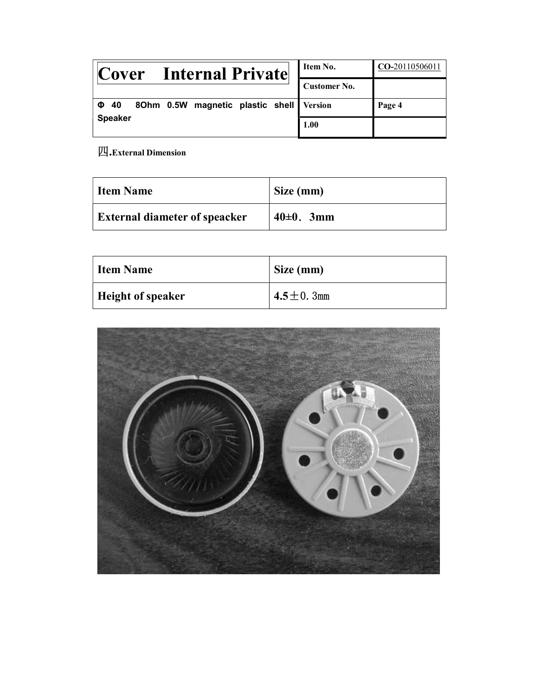| Cover Internal Private                                | Item No.            | CO-20110506011 |
|-------------------------------------------------------|---------------------|----------------|
|                                                       | <b>Customer No.</b> |                |
| 80hm 0.5W magnetic plastic shell Version<br>$\Phi$ 40 |                     | Page 4         |
| <b>Speaker</b>                                        | 1.00                |                |

四.External Dimension

| Item Name                            | Size (mm)     |
|--------------------------------------|---------------|
| <b>External diameter of speacker</b> | $40\pm0.$ 3mm |

| <b>Item Name</b>         | Size (mm)        |
|--------------------------|------------------|
| <b>Height of speaker</b> | 4.5 $\pm$ 0. 3mm |

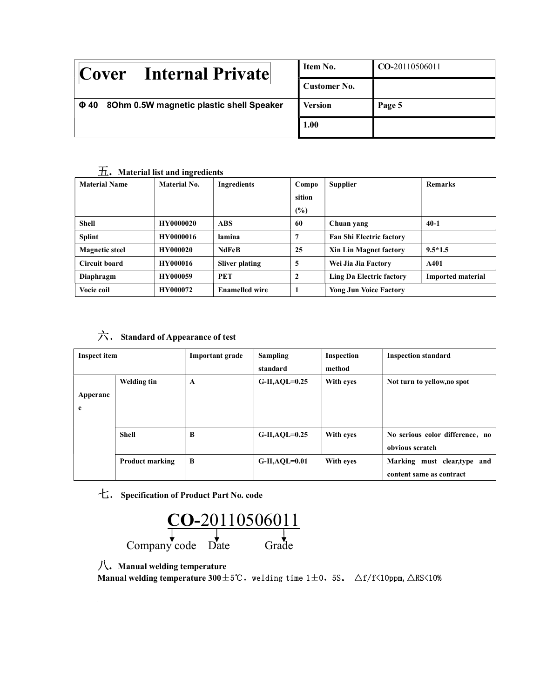| <b>Internal Private</b><br> Cover                     | Item No.       | CO-20110506011 |
|-------------------------------------------------------|----------------|----------------|
|                                                       | Customer No.   |                |
| 80hm 0.5W magnetic plastic shell Speaker<br>$\Phi$ 40 | <b>Version</b> | Page 5         |
|                                                       | 1.00           |                |

### 五. Material list and ingredients

| <b>Material Name</b>  | Material No.     | <b>Ingredients</b>    | Compo  | <b>Supplier</b>                 | <b>Remarks</b>           |
|-----------------------|------------------|-----------------------|--------|---------------------------------|--------------------------|
|                       |                  |                       | sition |                                 |                          |
|                       |                  |                       | $(\%)$ |                                 |                          |
| <b>Shell</b>          | <b>HY0000020</b> | <b>ABS</b>            | 60     | Chuan yang                      | $40-1$                   |
| <b>Splint</b>         | <b>HY0000016</b> | lamina                | 7      | <b>Fan Shi Electric factory</b> |                          |
| <b>Magnetic steel</b> | <b>HY000020</b>  | <b>NdFeB</b>          | 25     | <b>Xin Lin Magnet factory</b>   | $9.5*1.5$                |
| Circuit board         | <b>HY000016</b>  | <b>Sliver plating</b> | 5      | Wei Jia Jia Factory             | A401                     |
| Diaphragm             | <b>HY000059</b>  | <b>PET</b>            | 2      | Ling Da Electric factory        | <b>Imported material</b> |
| Vocie coil            | <b>HY000072</b>  | <b>Enamelled wire</b> |        | <b>Yong Jun Voice Factory</b>   |                          |

### 六.Standard of Appearance of test

| Inspect item  |                        | Important grade | Sampling<br>standard | Inspection<br>method | <b>Inspection standard</b>                               |
|---------------|------------------------|-----------------|----------------------|----------------------|----------------------------------------------------------|
| Apperanc<br>e | Welding tin            | A               | $G-II, AQL=0.25$     | With eyes            | Not turn to yellow, no spot                              |
|               | <b>Shell</b>           | B               | $G-II, AQL=0.25$     | With eyes            | No serious color difference, no<br>obvious scratch       |
|               | <b>Product marking</b> | B               | $G$ -II,AQL=0.01     | With eves            | Marking must clear, type and<br>content same as contract |

七.Specification of Product Part No. code



八. Manual welding temperature

Manual welding temperature  $300 \pm 5^\circ\text{C}$ , welding time 1±0, 5S.  $\Delta f/f\langle10ppm,\Delta RS\langle10\%$